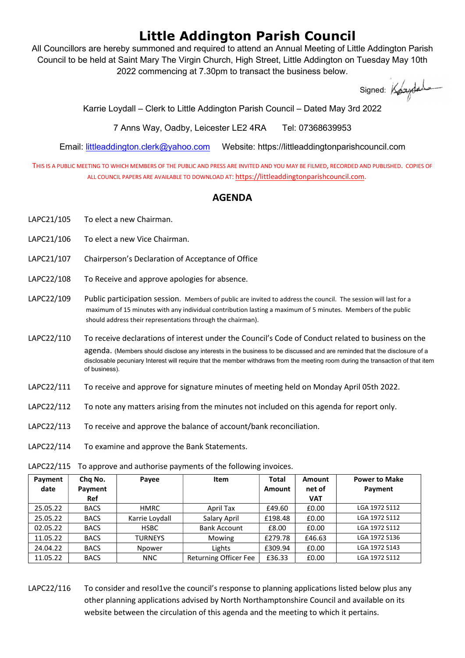## Little Addington Parish Council

All Councillors are hereby summoned and required to attend an Annual Meeting of Little Addington Parish Council to be held at Saint Mary The Virgin Church, High Street, Little Addington on Tuesday May 10th 2022 commencing at 7.30pm to transact the business below.

Signed: Koundale

Karrie Loydall – Clerk to Little Addington Parish Council – Dated May 3rd 2022

7 Anns Way, Oadby, Leicester LE2 4RA Tel: 07368639953

Email: littleaddington.clerk@yahoo.com Website: https://littleaddingtonparishcouncil.com

THIS IS A PUBLIC MEETING TO WHICH MEMBERS OF THE PUBLIC AND PRESS ARE INVITED AND YOU MAY BE FILMED, RECORDED AND PUBLISHED. COPIES OF ALL COUNCIL PAPERS ARE AVAILABLE TO DOWNLOAD AT: https://littleaddingtonparishcouncil.com.

## AGENDA

- LAPC21/105 To elect a new Chairman.
- LAPC21/106 To elect a new Vice Chairman.
- LAPC21/107 Chairperson's Declaration of Acceptance of Office
- LAPC22/108 To Receive and approve apologies for absence.
- LAPC22/109 Public participation session. Members of public are invited to address the council. The session will last for a maximum of 15 minutes with any individual contribution lasting a maximum of 5 minutes. Members of the public should address their representations through the chairman).
- LAPC22/110 To receive declarations of interest under the Council's Code of Conduct related to business on the agenda. (Members should disclose any interests in the business to be discussed and are reminded that the disclosure of a disclosable pecuniary Interest will require that the member withdraws from the meeting room during the transaction of that item of business).
- LAPC22/111 To receive and approve for signature minutes of meeting held on Monday April 05th 2022.
- LAPC22/112 To note any matters arising from the minutes not included on this agenda for report only.
- LAPC22/113 To receive and approve the balance of account/bank reconciliation.
- LAPC22/114 To examine and approve the Bank Statements.

| Payment<br>date | Chq No.<br>Payment<br>Ref | Payee          | Item                         | Total<br>Amount | <b>Amount</b><br>net of<br><b>VAT</b> | <b>Power to Make</b><br>Payment |
|-----------------|---------------------------|----------------|------------------------------|-----------------|---------------------------------------|---------------------------------|
| 25.05.22        | <b>BACS</b>               | HMRC           | April Tax                    | £49.60          | £0.00                                 | LGA 1972 S112                   |
| 25.05.22        | <b>BACS</b>               | Karrie Loydall | Salary April                 | £198.48         | £0.00                                 | LGA 1972 S112                   |
| 02.05.22        | <b>BACS</b>               | <b>HSBC</b>    | <b>Bank Account</b>          | £8.00           | £0.00                                 | LGA 1972 S112                   |
| 11.05.22        | <b>BACS</b>               | <b>TURNEYS</b> | Mowing                       | £279.78         | £46.63                                | LGA 1972 S136                   |
| 24.04.22        | <b>BACS</b>               | Npower         | Lights                       | £309.94         | £0.00                                 | LGA 1972 S143                   |
| 11.05.22        | <b>BACS</b>               | <b>NNC</b>     | <b>Returning Officer Fee</b> | £36.33          | £0.00                                 | LGA 1972 S112                   |

LAPC22/115 To approve and authorise payments of the following invoices.

LAPC22/116 To consider and resol1ve the council's response to planning applications listed below plus any other planning applications advised by North Northamptonshire Council and available on its website between the circulation of this agenda and the meeting to which it pertains.